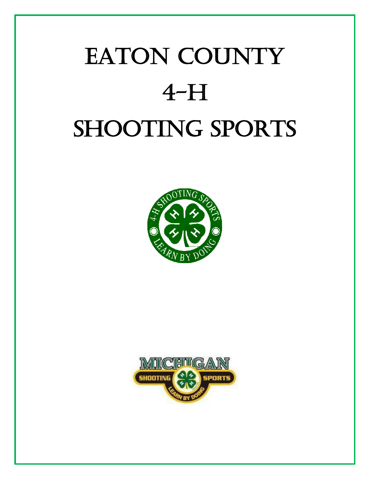# EATON COUNTY  $4-H$ **SHOOTING SPORTS**



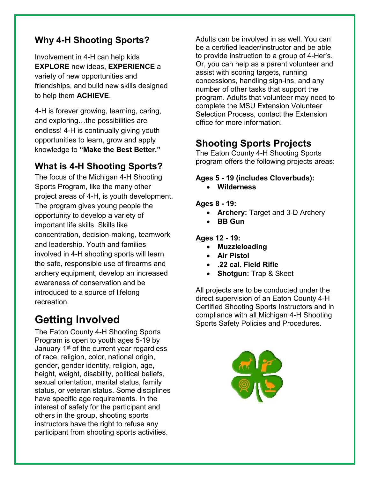#### **Why 4-H Shooting Sports?**

Involvement in 4-H can help kids **EXPLORE** new ideas, **EXPERIENCE** a variety of new opportunities and friendships, and build new skills designed to help them **ACHIEVE**.

4-H is forever growing, learning, caring, and exploring…the possibilities are endless! 4-H is continually giving youth opportunities to learn, grow and apply knowledge to **"Make the Best Better."**

#### **What is 4-H Shooting Sports?**

The focus of the Michigan 4-H Shooting Sports Program, like the many other project areas of 4-H, is youth development. The program gives young people the opportunity to develop a variety of important life skills. Skills like concentration, decision-making, teamwork and leadership. Youth and families involved in 4-H shooting sports will learn the safe, responsible use of firearms and archery equipment, develop an increased awareness of conservation and be introduced to a source of lifelong recreation.

# **Getting Involved**

The Eaton County 4-H Shooting Sports Program is open to youth ages 5-19 by January 1<sup>st</sup> of the current year regardless of race, religion, color, national origin, gender, gender identity, religion, age, height, weight, disability, political beliefs, sexual orientation, marital status, family status, or veteran status. Some disciplines have specific age requirements. In the interest of safety for the participant and others in the group, shooting sports instructors have the right to refuse any participant from shooting sports activities.

Adults can be involved in as well. You can be a certified leader/instructor and be able to provide instruction to a group of 4-Her's. Or, you can help as a parent volunteer and assist with scoring targets, running concessions, handling sign-ins, and any number of other tasks that support the program. Adults that volunteer may need to complete the MSU Extension Volunteer Selection Process, contact the Extension office for more information.

# **Shooting Sports Projects**

The Eaton County 4-H Shooting Sports program offers the following projects areas:

#### **Ages 5 - 19 (includes Cloverbuds):**

• **Wilderness**

#### **Ages 8 - 19:**

- **Archery:** Target and 3-D Archery
- **BB Gun**

**Ages 12 - 19:**

- **Muzzleloading**
- **Air Pistol**
- **.22 cal. Field Rifle**
- **Shotgun:** Trap & Skeet

All projects are to be conducted under the direct supervision of an Eaton County 4-H Certified Shooting Sports Instructors and in compliance with all Michigan 4-H Shooting Sports Safety Policies and Procedures.

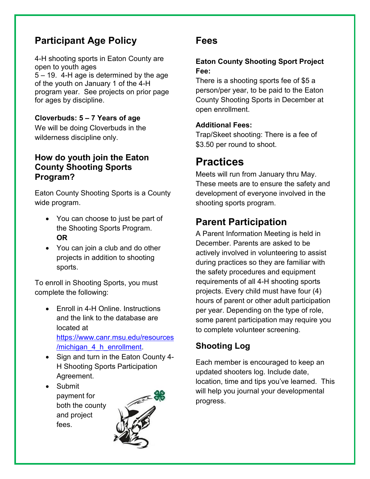# **Participant Age Policy**

4-H shooting sports in Eaton County are open to youth ages 5 – 19. 4-H age is determined by the age of the youth on January 1 of the 4-H program year. See projects on prior page for ages by discipline.

#### **Cloverbuds: 5 – 7 Years of age** We will be doing Cloverbuds in the wilderness discipline only.

#### **How do youth join the Eaton County Shooting Sports Program?**

Eaton County Shooting Sports is a County wide program.

- You can choose to just be part of the Shooting Sports Program. **OR**
- You can join a club and do other projects in addition to shooting sports.

To enroll in Shooting Sports, you must complete the following:

- Enroll in 4-H Online. Instructions and the link to the database are located at [https://www.canr.msu.edu/resources](https://www.canr.msu.edu/resources/michigan_4_h_enrollment) /michigan 4 h enrollment.
- Sign and turn in the Eaton County 4- H Shooting Sports Participation Agreement.
- Submit payment for both the county and project fees.



### **Fees**

#### **Eaton County Shooting Sport Project Fee:**

There is a shooting sports fee of \$5 a person/per year, to be paid to the Eaton County Shooting Sports in December at open enrollment.

#### **Additional Fees:**

Trap/Skeet shooting: There is a fee of \$3.50 per round to shoot.

# **Practices**

Meets will run from January thru May. These meets are to ensure the safety and development of everyone involved in the shooting sports program.

# **Parent Participation**

A Parent Information Meeting is held in December. Parents are asked to be actively involved in volunteering to assist during practices so they are familiar with the safety procedures and equipment requirements of all 4-H shooting sports projects. Every child must have four (4) hours of parent or other adult participation per year. Depending on the type of role, some parent participation may require you to complete volunteer screening.

### **Shooting Log**

Each member is encouraged to keep an updated shooters log. Include date, location, time and tips you've learned. This will help you journal your developmental progress.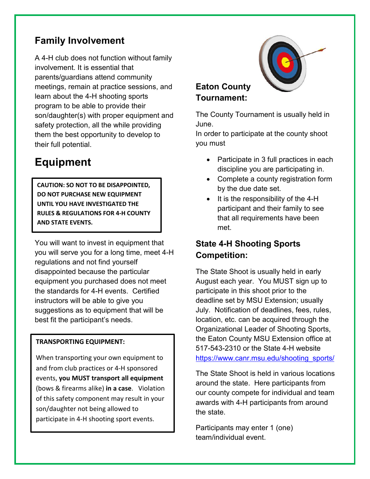# **Family Involvement**

A 4-H club does not function without family involvement. It is essential that parents/guardians attend community meetings, remain at practice sessions, and learn about the 4-H shooting sports program to be able to provide their son/daughter(s) with proper equipment and safety protection, all the while providing them the best opportunity to develop to their full potential.

# **Equipment**

**CAUTION: SO NOT TO BE DISAPPOINTED, DO NOT PURCHASE NEW EQUIPMENT UNTIL YOU HAVE INVESTIGATED THE RULES & REGULATIONS FOR 4-H COUNTY AND STATE EVENTS.** 

You will want to invest in equipment that you will serve you for a long time, meet 4-H regulations and not find yourself disappointed because the particular equipment you purchased does not meet the standards for 4-H events. Certified instructors will be able to give you suggestions as to equipment that will be best fit the participant's needs.

#### **TRANSPORTING EQUIPMENT:**

When transporting your own equipment to and from club practices or 4-H sponsored events, **you MUST transport all equipment** (bows & firearms alike) **in a case**. Violation of this safety component may result in your son/daughter not being allowed to participate in 4-H shooting sport events.

#### **Eaton County Tournament:**

The County Tournament is usually held in June.

In order to participate at the county shoot you must

- Participate in 3 full practices in each discipline you are participating in.
- Complete a county registration form by the due date set.
- It is the responsibility of the 4-H participant and their family to see that all requirements have been met.

#### **State 4-H Shooting Sports Competition:**

The State Shoot is usually held in early August each year. You MUST sign up to participate in this shoot prior to the deadline set by MSU Extension; usually July. Notification of deadlines, fees, rules, location, etc. can be acquired through the Organizational Leader of Shooting Sports, the Eaton County MSU Extension office at 517-543-2310 or the State 4-H website [https://www.canr.msu.edu/shooting\\_sports/](https://www.canr.msu.edu/shooting_sports/)

The State Shoot is held in various locations around the state. Here participants from our county compete for individual and team awards with 4-H participants from around the state.

Participants may enter 1 (one) team/individual event.